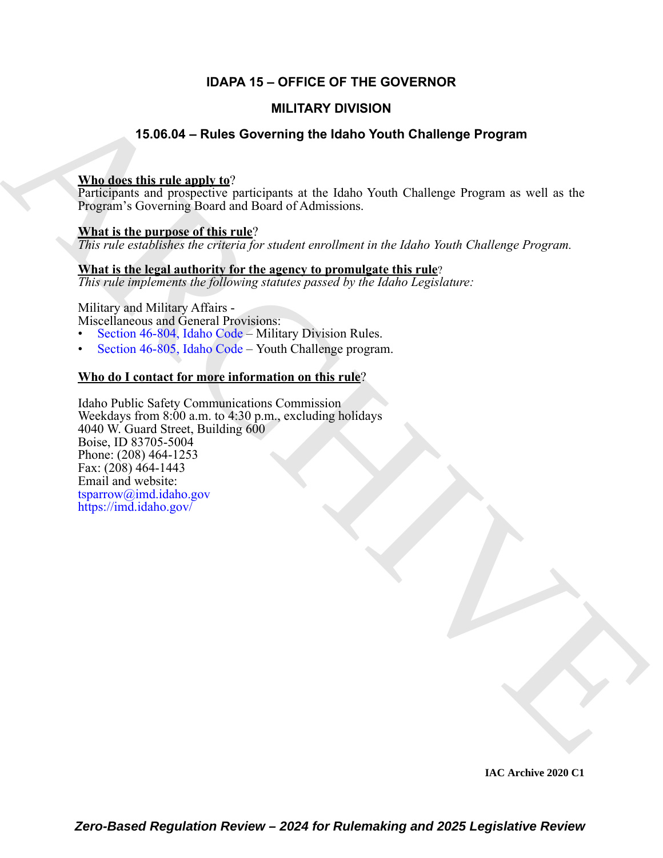## **IDAPA 15 – OFFICE OF THE GOVERNOR**

#### **MILITARY DIVISION**

### **15.06.04 – Rules Governing the Idaho Youth Challenge Program**

#### **Who does this rule apply to**?

Participants and prospective participants at the Idaho Youth Challenge Program as well as the Program's Governing Board and Board of Admissions.

#### **What is the purpose of this rule**?

*This rule establishes the criteria for student enrollment in the Idaho Youth Challenge Program.*

#### **What is the legal authority for the agency to promulgate this rule**?

*This rule implements the following statutes passed by the Idaho Legislature:*

# Military and Military Affairs -

Miscellaneous and General Provisions:

- Section 46-804, Idaho Code Military Division Rules.
- Section 46-805, Idaho Code Youth Challenge program.

#### **Who do I contact for more information on this rule**?

**MILITARY DI[V](https://imd.idaho.gov/)ISION<br>
SECRET HEADS CONTRIBUTE the SUCHE CHAIR (The Control of Program as well as the<br>
Participants and prospective participants at the dialor Youth Challenge Program as well as the<br>
Participants and prospect** Idaho Public Safety Communications Commission Weekdays from 8:00 a.m. to 4:30 p.m., excluding holidays 4040 W. Guard Street, Building  $600 -$ Boise, ID 83705-5004 Phone: (208) 464-1253 Fax:  $(208)$  464-1443 Email and website: tsparrow@imd.idaho.gov https://imd.idaho.gov/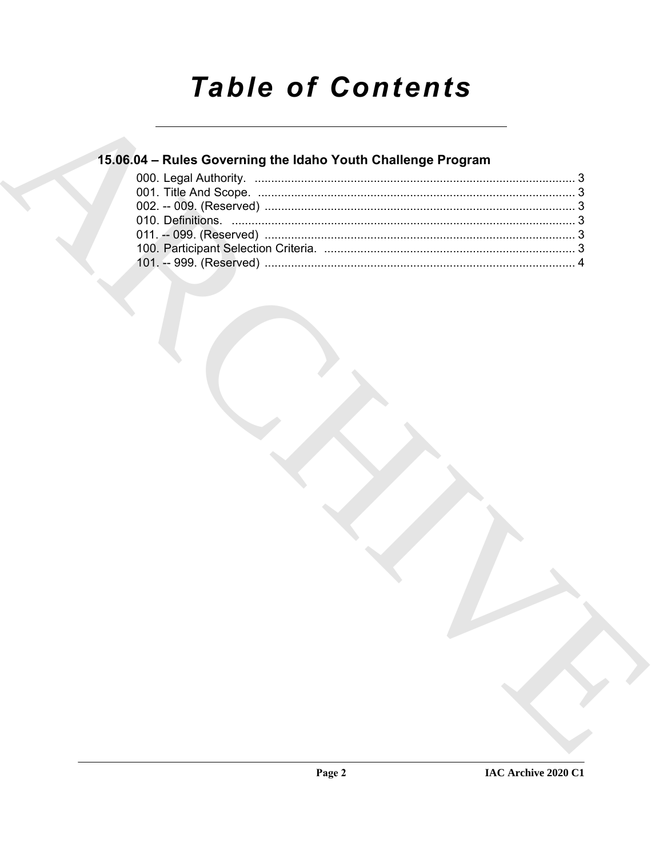# **Table of Contents**

# 15.06.04 - Rules Governing the Idaho Youth Challenge Program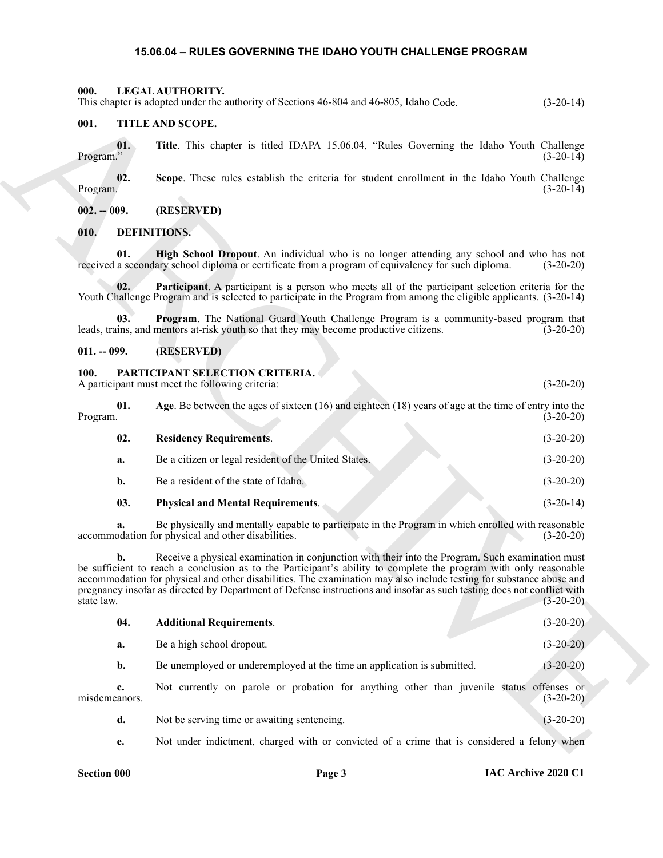#### <span id="page-2-11"></span>**15.06.04 – RULES GOVERNING THE IDAHO YOUTH CHALLENGE PROGRAM**

<span id="page-2-1"></span><span id="page-2-0"></span>**000. LEGAL AUTHORITY.** This chapter is adopted under the authority of Sections 46-804 and 46-805, Idaho Code. (3-20-14)

#### <span id="page-2-17"></span><span id="page-2-7"></span><span id="page-2-4"></span><span id="page-2-3"></span><span id="page-2-2"></span>**001. TITLE AND SCOPE.**

#### <span id="page-2-10"></span><span id="page-2-9"></span><span id="page-2-8"></span><span id="page-2-5"></span>**011. -- 099. (RESERVED)**

#### <span id="page-2-12"></span><span id="page-2-6"></span>**100. PARTICIPANT SELECTION CRITERIA.**

<span id="page-2-16"></span><span id="page-2-15"></span><span id="page-2-14"></span><span id="page-2-13"></span>

| 01.<br>Program. | Age. Be between the ages of sixteen $(16)$ and eighteen $(18)$ years of age at the time of entry into the | $(3-20-20)$ |
|-----------------|-----------------------------------------------------------------------------------------------------------|-------------|
| 02.             | <b>Residency Requirements.</b>                                                                            | $(3-20-20)$ |
| a.              | Be a citizen or legal resident of the United States.                                                      | $(3-20-20)$ |
| b.              | Be a resident of the state of Idaho.                                                                      | $(3-20-20)$ |
| 03.             | <b>Physical and Mental Requirements.</b>                                                                  | $(3-20-14)$ |

|                     | This chapter is adopted under the authority of Sections 46-804 and 46-805, Idaho Code.                                                                                                                                                                                                                                                                                                                                                                                | $(3-20-14)$ |
|---------------------|-----------------------------------------------------------------------------------------------------------------------------------------------------------------------------------------------------------------------------------------------------------------------------------------------------------------------------------------------------------------------------------------------------------------------------------------------------------------------|-------------|
| 001.                | TITLE AND SCOPE.                                                                                                                                                                                                                                                                                                                                                                                                                                                      |             |
| 01.<br>Program."    | Title. This chapter is titled IDAPA 15.06.04, "Rules Governing the Idaho Youth Challenge                                                                                                                                                                                                                                                                                                                                                                              | $(3-20-14)$ |
| 02.<br>Program.     | Scope. These rules establish the criteria for student enrollment in the Idaho Youth Challenge                                                                                                                                                                                                                                                                                                                                                                         | $(3-20-14)$ |
| $002. - 009.$       | (RESERVED)                                                                                                                                                                                                                                                                                                                                                                                                                                                            |             |
| 010.                | <b>DEFINITIONS.</b>                                                                                                                                                                                                                                                                                                                                                                                                                                                   |             |
| 01.                 | High School Dropout. An individual who is no longer attending any school and who has not<br>received a secondary school diploma or certificate from a program of equivalency for such diploma.                                                                                                                                                                                                                                                                        | $(3-20-20)$ |
| 02.                 | <b>Participant.</b> A participant is a person who meets all of the participant selection criteria for the<br>Youth Challenge Program and is selected to participate in the Program from among the eligible applicants. (3-20-14)                                                                                                                                                                                                                                      |             |
| 03.                 | Program. The National Guard Youth Challenge Program is a community-based program that<br>leads, trains, and mentors at-risk youth so that they may become productive citizens.                                                                                                                                                                                                                                                                                        | $(3-20-20)$ |
| $011. - 099.$       | (RESERVED)                                                                                                                                                                                                                                                                                                                                                                                                                                                            |             |
| <b>100.</b>         | PARTICIPANT SELECTION CRITERIA.<br>A participant must meet the following criteria:                                                                                                                                                                                                                                                                                                                                                                                    | $(3-20-20)$ |
| 01.<br>Program.     | Age. Be between the ages of sixteen $(16)$ and eighteen $(18)$ years of age at the time of entry into the                                                                                                                                                                                                                                                                                                                                                             | $(3-20-20)$ |
| 02.                 | <b>Residency Requirements.</b>                                                                                                                                                                                                                                                                                                                                                                                                                                        | $(3-20-20)$ |
| a.                  | Be a citizen or legal resident of the United States.                                                                                                                                                                                                                                                                                                                                                                                                                  | $(3-20-20)$ |
| b.                  | Be a resident of the state of Idaho.                                                                                                                                                                                                                                                                                                                                                                                                                                  | $(3-20-20)$ |
| 03.                 | <b>Physical and Mental Requirements.</b>                                                                                                                                                                                                                                                                                                                                                                                                                              | $(3-20-14)$ |
|                     | Be physically and mentally capable to participate in the Program in which enrolled with reasonable<br>accommodation for physical and other disabilities.                                                                                                                                                                                                                                                                                                              | $(3-20-20)$ |
| b.<br>state law.    | Receive a physical examination in conjunction with their into the Program. Such examination must<br>be sufficient to reach a conclusion as to the Participant's ability to complete the program with only reasonable<br>accommodation for physical and other disabilities. The examination may also include testing for substance abuse and<br>pregnancy insofar as directed by Department of Defense instructions and insofar as such testing does not conflict with | $(3-20-20)$ |
| 04.                 | <b>Additional Requirements.</b>                                                                                                                                                                                                                                                                                                                                                                                                                                       | $(3-20-20)$ |
| a.                  | Be a high school dropout.                                                                                                                                                                                                                                                                                                                                                                                                                                             | $(3-20-20)$ |
| b.                  | Be unemployed or underemployed at the time an application is submitted.                                                                                                                                                                                                                                                                                                                                                                                               | $(3-20-20)$ |
| c.<br>misdemeanors. | Not currently on parole or probation for anything other than juvenile status offenses or                                                                                                                                                                                                                                                                                                                                                                              | $(3-20-20)$ |
| d.                  | Not be serving time or awaiting sentencing.                                                                                                                                                                                                                                                                                                                                                                                                                           | $(3-20-20)$ |
| e.                  | Not under indictment, charged with or convicted of a crime that is considered a felony when                                                                                                                                                                                                                                                                                                                                                                           |             |
|                     |                                                                                                                                                                                                                                                                                                                                                                                                                                                                       |             |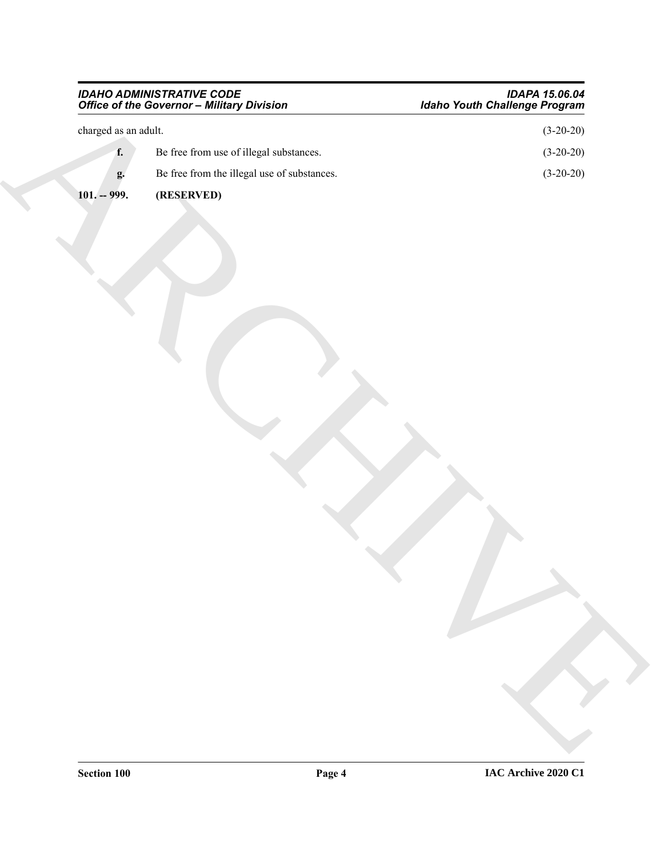#### <span id="page-3-0"></span>*IDAHO ADMINISTRATIVE CODE IDAPA 15.06.04 Office of the Governor – Military Division Idaho Youth Challenge Program*

| $\,$ charged as an adult.<br>f.<br>Be free from use of illegal substances.<br>Be free from the illegal use of substances.<br>g.<br>$101. - 999.$<br>(RESERVED) | $(3-20-20)$<br>$(3-20-20)$<br>$(3-20-20)$ |
|----------------------------------------------------------------------------------------------------------------------------------------------------------------|-------------------------------------------|
|                                                                                                                                                                |                                           |
|                                                                                                                                                                |                                           |
|                                                                                                                                                                |                                           |
|                                                                                                                                                                |                                           |
|                                                                                                                                                                |                                           |
|                                                                                                                                                                |                                           |
|                                                                                                                                                                |                                           |
|                                                                                                                                                                |                                           |
|                                                                                                                                                                |                                           |
|                                                                                                                                                                |                                           |
|                                                                                                                                                                |                                           |
|                                                                                                                                                                |                                           |
|                                                                                                                                                                |                                           |
|                                                                                                                                                                |                                           |
|                                                                                                                                                                |                                           |
|                                                                                                                                                                |                                           |
|                                                                                                                                                                |                                           |
|                                                                                                                                                                |                                           |
|                                                                                                                                                                |                                           |
|                                                                                                                                                                |                                           |

**Section 100 Page 4**